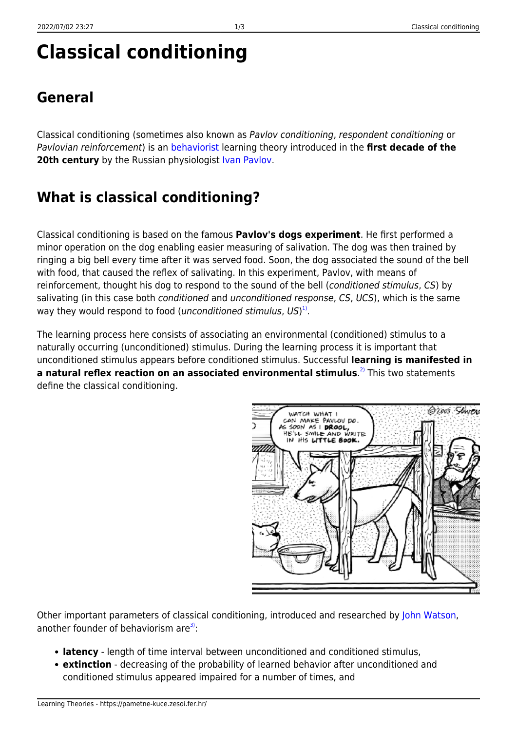@zoos Stwers

# **Classical conditioning**

### **General**

Classical conditioning (sometimes also known as Pavlov conditioning, respondent conditioning or Pavlovian reinforcement) is an [behaviorist](https://pametne-kuce.zesoi.fer.hr/doku.php?id=learning_paradigms:behaviorism) learning theory introduced in the **first decade of the 20th century** by the Russian physiologist [Ivan Pavlov.](http://www.ivanpavlov.com/)

## **What is classical conditioning?**

Classical conditioning is based on the famous **Pavlov's dogs experiment**. He first performed a minor operation on the dog enabling easier measuring of salivation. The dog was then trained by ringing a big bell every time after it was served food. Soon, the dog associated the sound of the bell with food, that caused the reflex of salivating. In this experiment, Pavlov, with means of reinforcement, thought his dog to respond to the sound of the bell (conditioned stimulus, CS) by salivating (in this case both conditioned and unconditioned response, CS, UCS), which is the same way they would respond to food (*unconditioned stimulus*,  $US)^{1)}$  $US)^{1)}$  $US)^{1)}$ .

The learning process here consists of associating an environmental (conditioned) stimulus to a naturally occurring (unconditioned) stimulus. During the learning process it is important that unconditioned stimulus appears before conditioned stimulus. Successful **learning is manifested in a natural reflex reaction on an associated environmental stimulus**. [2\)](#page--1-0) This two statements define the classical conditioning.

> WATCH WHAT I CAN MAKE PAVLOV DO

Other important parameters of classical conditioning, introduced and researched by [John Watson](http://www.muskingum.edu/~psych/psycweb/history/watson.htm), another founder of behaviorism are $3$ :

- **latency** length of time interval between unconditioned and conditioned stimulus,
- **extinction** decreasing of the probability of learned behavior after unconditioned and conditioned stimulus appeared impaired for a number of times, and

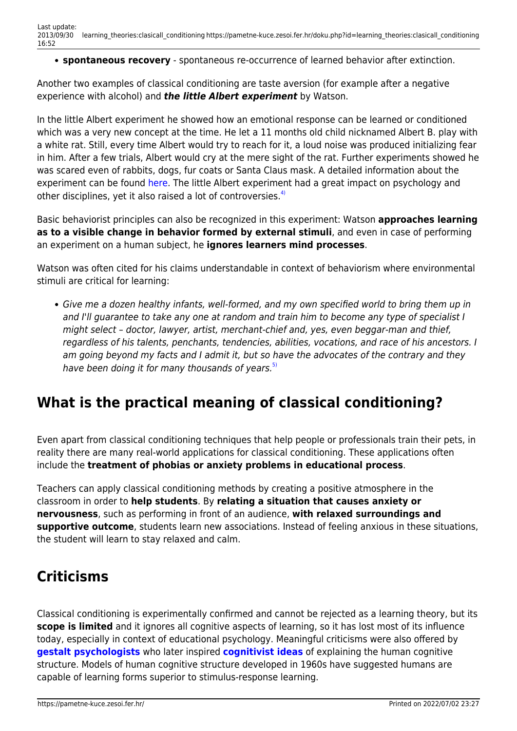**spontaneous recovery** - spontaneous re-occurrence of learned behavior after extinction.

Another two examples of classical conditioning are taste aversion (for example after a negative experience with alcohol) and *the little Albert experiment* by Watson.

In the little Albert experiment he showed how an emotional response can be learned or conditioned which was a very new concept at the time. He let a 11 months old child nicknamed Albert B. play with a white rat. Still, every time Albert would try to reach for it, a loud noise was produced initializing fear in him. After a few trials, Albert would cry at the mere sight of the rat. Further experiments showed he was scared even of rabbits, dogs, fur coats or Santa Claus mask. A detailed information about the experiment can be found [here](http://www.psychology.sbc.edu/Little%20Albert.htm). The little Albert experiment had a great impact on psychology and other disciplines, yet it also raised a lot of controversies.<sup>[4\)](#page--1-0)</sup>

Basic behaviorist principles can also be recognized in this experiment: Watson **approaches learning as to a visible change in behavior formed by external stimuli**, and even in case of performing an experiment on a human subject, he **ignores learners mind processes**.

Watson was often cited for his claims understandable in context of behaviorism where environmental stimuli are critical for learning:

Give me a dozen healthy infants, well-formed, and my own specified world to bring them up in and I'll guarantee to take any one at random and train him to become any type of specialist I might select – doctor, lawyer, artist, merchant-chief and, yes, even beggar-man and thief, regardless of his talents, penchants, tendencies, abilities, vocations, and race of his ancestors. I am going beyond my facts and I admit it, but so have the advocates of the contrary and they have been doing it for many thousands of years. $5$ 

#### **What is the practical meaning of classical conditioning?**

Even apart from classical conditioning techniques that help people or professionals train their pets, in reality there are many real-world applications for classical conditioning. These applications often include the **treatment of phobias or anxiety problems in educational process**.

Teachers can apply classical conditioning methods by creating a positive atmosphere in the classroom in order to **help students**. By **relating a situation that causes anxiety or nervousness**, such as performing in front of an audience, **with relaxed surroundings and supportive outcome**, students learn new associations. Instead of feeling anxious in these situations, the student will learn to stay relaxed and calm.

#### **Criticisms**

Classical conditioning is experimentally confirmed and cannot be rejected as a learning theory, but its **scope is limited** and it ignores all cognitive aspects of learning, so it has lost most of its influence today, especially in context of educational psychology. Meaningful criticisms were also offered by **[gestalt psychologists](https://pametne-kuce.zesoi.fer.hr/doku.php?id=learning_theories:gestalt_psychology)** who later inspired **[cognitivist ideas](https://pametne-kuce.zesoi.fer.hr/doku.php?id=learning_paradigms:cognitivism)** of explaining the human cognitive structure. Models of human cognitive structure developed in 1960s have suggested humans are capable of learning forms superior to stimulus-response learning.